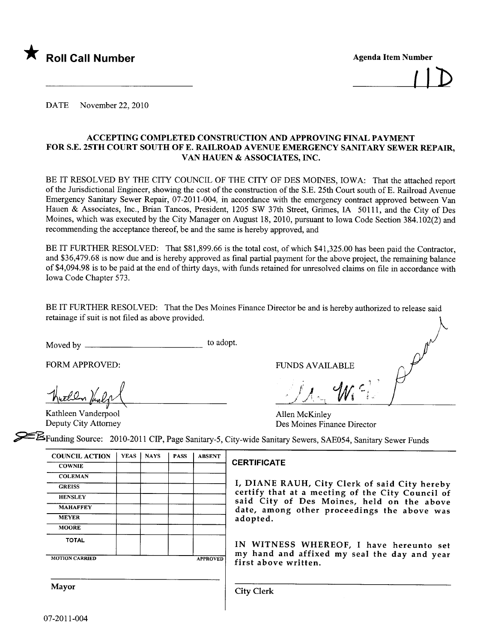

**Agenda Item Number** 

DATE November 22, 2010

#### ACCEPTING COMPLETED CONSTRUCTION AND APPROVING FINAL PAYMENT FOR S.E. 25TH COURT SOUTH OF E. RAILROAD AVENUE EMERGENCY SANITARY SEWER REPAIR, VAN HAUEN & ASSOCIATES, INC.

BE IT RESOLVED BY THE CITY COUNCIL OF THE CITY OF DES MOINES, IOWA: That the attached report of the Jurisdictional Engineer, showing the cost of the construction of the S.E. 25th Court south of E. Railroad Avenue Emergency Sanitary Sewer Repair, 07-2011-004, in accordance with the emergency contract approved between Van Hauen & Associates, Inc., Brian Tancos, President, 1205 SW 37th Street, Grimes, IA 50111, and the City of Des Moines, which was executed by the City Manager on August 18, 2010, pursuant to Iowa Code Section 384.102(2) and recommending the acceptance thereof, be and the same is hereby approved, and

BE IT FURTHER RESOLVED: That \$81,899.66 is the total cost, of which \$41,325.00 has been paid the Contractor, and \$36,479.68 is now due and is hereby approved as final partial payment for the above project, the remaining balance of \$4,094.98 is to be paid at the end of thirty days, with funds retained for unresolved claims on fie in accordance with Iowa Code Chapter 573.

BE IT FURTHER RESOLVED: That the Des Moines Finance Director be and is hereby authorized to release said retainage if suit is not filed as above provided.

Moved by to adopt.

FORM APPROVED: FUNDS AVAILABLE

Kathleen Vanderpool Allen McKinley

 $\mathscr{J}_{\mathcal{A}}$  ,  $y_{\Lambda_{\gamma}}$   $w_{\gamma}$ 

Kathleen Vanderpool<br>
Deputy City Attorney Des Moines Finance Director<br>
Des Moines Finance Director

~Funding Source: 2010-2011 CIP, Page Sanitary-5, City-wide Sanitar Sewers, SAE054, Sanitary Sewer Funds

| <b>COUNCIL ACTION</b> | <b>YEAS</b> | <b>NAYS</b> | <b>PASS</b> | <b>ABSENT</b>   |
|-----------------------|-------------|-------------|-------------|-----------------|
| <b>COWNIE</b>         |             |             |             |                 |
| <b>COLEMAN</b>        |             |             |             |                 |
| <b>GREISS</b>         |             |             |             |                 |
| <b>HENSLEY</b>        |             |             |             |                 |
| <b>MAHAFFEY</b>       |             |             |             |                 |
| <b>MEYER</b>          |             |             |             |                 |
| <b>MOORE</b>          |             |             |             |                 |
| <b>TOTAL</b>          |             |             |             |                 |
| <b>MOTION CARRIED</b> |             |             |             | <b>APPROVED</b> |

#### **CERTIFICATE**

I, DIANE RAUH, City Clerk of said City hereby certify that at a meeting of the City Council of said City of Des Moines, held on the above date, among other proceedings the above was adopted.

h

IN WITNESS WHEREOF, I have hereunto set my hand and affixed my seal the day and year first above written.

Mayor City Clerk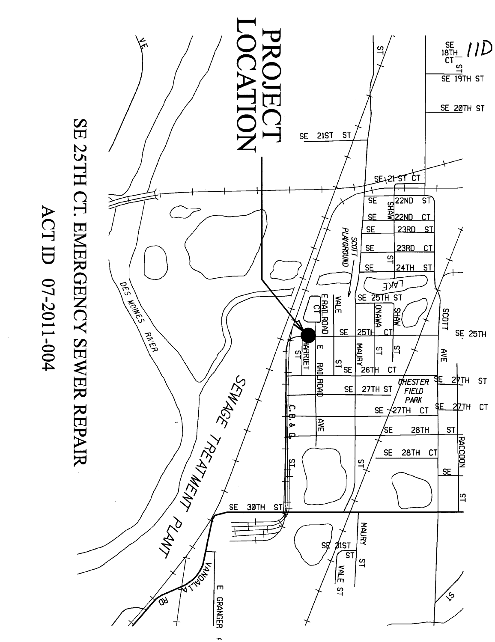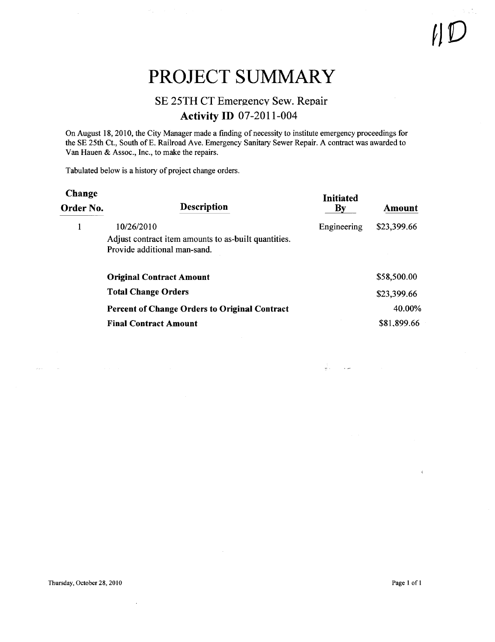### PROJECT SUMMARY

#### SE 25TH CT Emergency Sew. Repair Activity ID 07-2011-004

On August 18, 2010, the City Manager made a finding of necessity to institue emergency proceedings for the SE 25th Ct., South of E. Railroad Ave. Emergency Sanitary Sewer Repair. A contract was awarded to Van Hauen & Assoc., Inc., to make the repairs.

Tabulated below is a history of project change orders.

| Change<br>Order No. | <b>Description</b>                                                                                 | <b>Initiated</b><br>$\mathbf{B}\mathbf{v}$ | Amount      |
|---------------------|----------------------------------------------------------------------------------------------------|--------------------------------------------|-------------|
|                     | 10/26/2010<br>Adjust contract item amounts to as-built quantities.<br>Provide additional man-sand. | Engineering                                | \$23,399.66 |
|                     | <b>Original Contract Amount</b>                                                                    |                                            | \$58,500.00 |
|                     | <b>Total Change Orders</b>                                                                         |                                            | \$23,399.66 |
|                     | <b>Percent of Change Orders to Original Contract</b>                                               |                                            | 40.00%      |
|                     | <b>Final Contract Amount</b>                                                                       |                                            | \$81,899.66 |

 $\bar{\lambda}$  ,  $\bar{\lambda}$ 

 $\sim$ 

 $\frac{1}{2}$  ,  $\frac{1}{2}$  ,  $\frac{1}{2}$  , and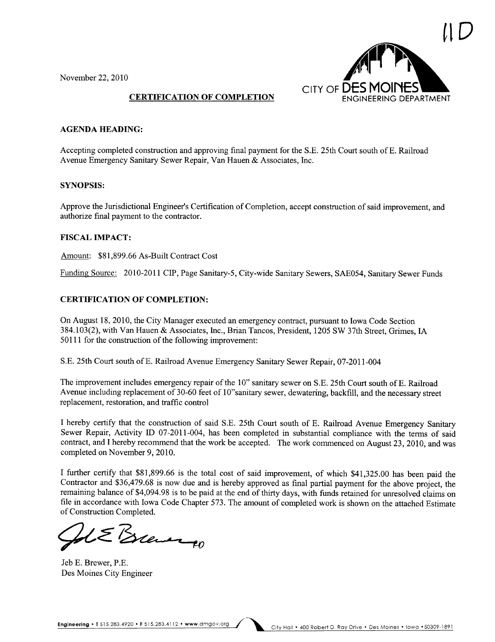November 22,2010



#### CERTIFICATION OF COMPLETION

#### AGENDA HEADING:

Accepting completed construction and approving final payment for the S.E. 25th Court south of E. Railroad Avenue Emergency Sanitary Sewer Repair, Van Hauen & Associates, Inc.

#### SYNOPSIS:

Approve the Jurisdictional Engineer's Certification of Completion, accept construction of said improvement, and authorize final payment to the contractor.

#### FISCAL IMPACT:

Amount: \$81,899.66 As-Built Contract Cost

Funding Source: 2010-2011 CIP, Page Sanitary-5, City-wide Sanitary Sewers, SAE054, Sanitary Sewer Funds

#### CERTIFICATION OF COMPLETION:

On August 18,2010, the City Manager executed an emergency contract, pursuant to Iowa Code Section 384.103(2), with Van Hauen & Associates, Inc., Brian Tancos, President, 1205 SW 37th Street, Grimes, IA 50111 for the construction of the following improvement:

S.E. 25th Court south ofE. Railroad Avenue Emergency Sanitary Sewer Repair, 07-2011-004

The improvement includes emergency repair of the 10" sanitary sewer on S.E. 25th Court south of E. Railroad Avenue including replacement of 30-60 feet of 10"sanitary sewer, dewatering, backfill, and the necessary street replacement, restoration, and traffic control

I hereby certify that the construction of said S.E. 25th Court south of E. Railroad Avenue Emergency Sanitary Sewer Repair, Activity ID 07-2011-004, has been completed in substantial compliance with the terms of said contract, and I hereby recommend that the work be accepted. The work commenced on August 23, 2010, and was completed on November 9, 2010.

I further certify that \$81,899.66 is the total cost of said improvement, of which \$41,325.00 has been paid the Contractor and \$36,479.68 is now due and is hereby approved as final partial payment for the above project, the remaining balance of \$4,094.98 is to be paid at the end of thirty days, with funds retained for unresolved claims on fie in accordance with Iowa Code Chapter 573. The amount of completed work is shown on the attached Estimate

of Construction Completed.<br>
Solement PD<br>
Jeb E. Brewer, P.E.

Des Moines City Engineer